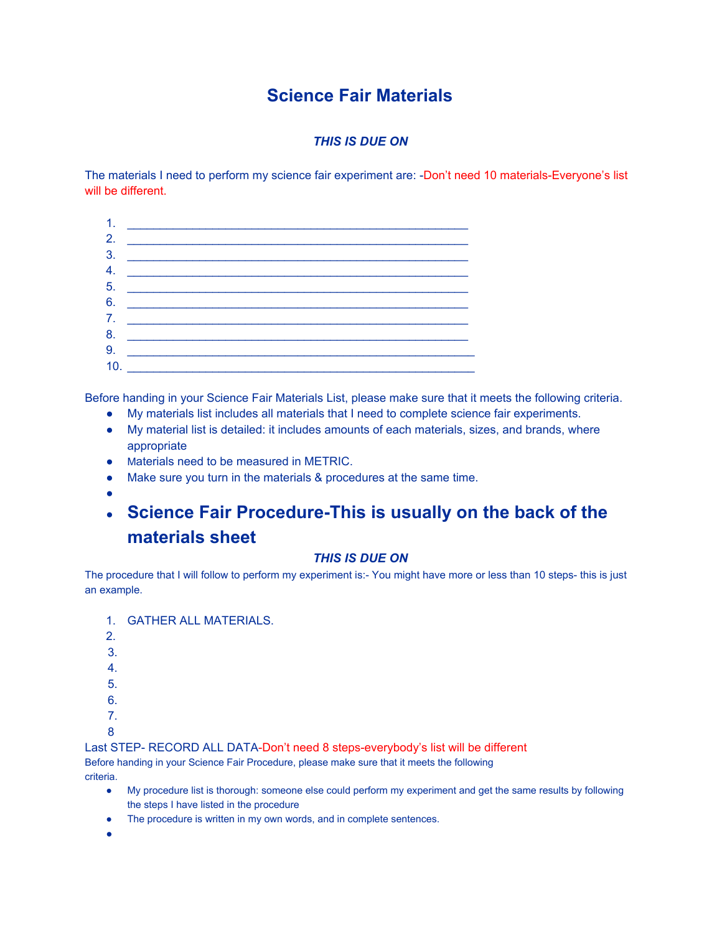# **Science Fair Materials**

### *THIS IS DUE ON*

The materials I need to perform my science fair experiment are: -Don't need 10 materials-Everyone's list will be different.



Before handing in your Science Fair Materials List, please make sure that it meets the following criteria.

- My materials list includes all materials that I need to complete science fair experiments.
- My material list is detailed: it includes amounts of each materials, sizes, and brands, where appropriate
- Materials need to be measured in METRIC.
- Make sure you turn in the materials & procedures at the same time.
- ●

# ● **Science Fair Procedure-This is usually on the back of the materials sheet**

#### *THIS IS DUE ON*

The procedure that I will follow to perform my experiment is:- You might have more or less than 10 steps- this is just an example.

- 1. GATHER ALL MATERIALS.
- 2.
- 3.
- 4.
- 5.
- 6.
- 7.
- 8

Last STEP- RECORD ALL DATA-Don't need 8 steps-everybody's list will be different Before handing in your Science Fair Procedure, please make sure that it meets the following

criteria.

- My procedure list is thorough: someone else could perform my experiment and get the same results by following the steps I have listed in the procedure
- The procedure is written in my own words, and in complete sentences.
- ●